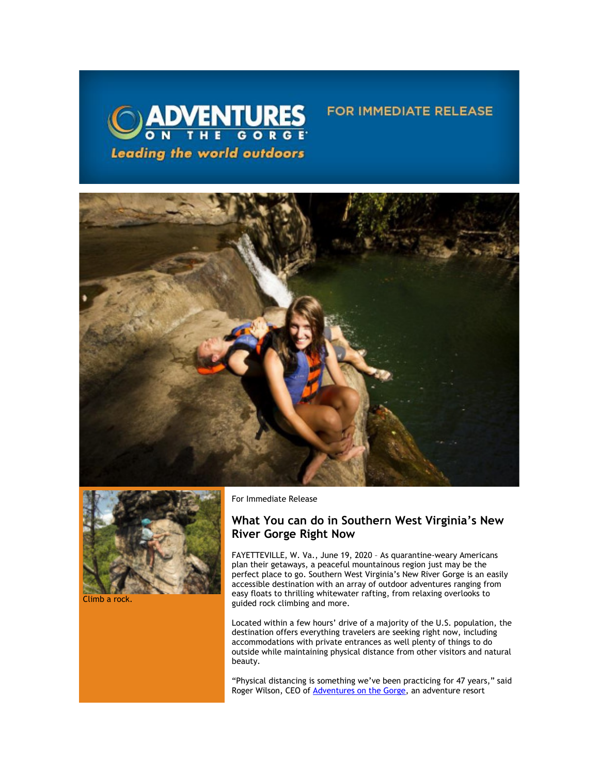



Climb a rock.

For Immediate Release

## **What You can do in Southern West Virginia's New River Gorge Right Now**

**FOR IMMEDIATE RELEASE** 

FAYETTEVILLE, W. Va., June 19, 2020 – As quarantine-weary Americans plan their getaways, a peaceful mountainous region just may be the perfect place to go. Southern West Virginia's New River Gorge is an easily accessible destination with an array of outdoor adventures ranging from easy floats to thrilling whitewater rafting, from relaxing overlooks to guided rock climbing and more.

Located within a few hours' drive of a majority of the U.S. population, the destination offers everything travelers are seeking right now, including accommodations with private entrances as well plenty of things to do outside while maintaining physical distance from other visitors and natural beauty.

"Physical distancing is something we've been practicing for 47 years," said Roger Wilson, CEO of [Adventures on the Gorge,](https://click.icptrack.com/icp/relay.php?r=13440961&msgid=456057&act=3SPQ&c=1378153&destination=http%3A%2F%2Fwww.adventuresonthegorge.com%2F&cf=13608&v=5a6d29c5bd89500c6946838c97b8849561ebbd48dbb2fdae9fe0068cb3f8e60e) an adventure resort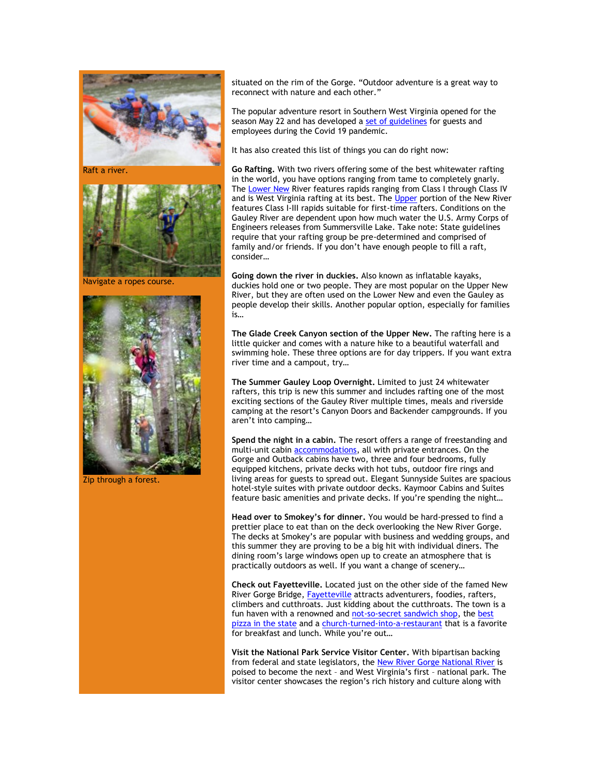

Raft a river.



Navigate a ropes course.



Zip through a forest.

situated on the rim of the Gorge. "Outdoor adventure is a great way to reconnect with nature and each other."

The popular adventure resort in Southern West Virginia opened for the season May 22 and has developed a [set of guidelines](https://click.icptrack.com/icp/relay.php?r=13440961&msgid=456057&act=3SPQ&c=1378153&destination=https%3A%2F%2Fadventuresonthegorge.com%2Fwebinar%2F&cf=13608&v=0e256f2f09d819a61663a3ae02d7066dc4ae97c0dedcefbb946cbc909829e0ff) for guests and employees during the Covid 19 pandemic.

It has also created this list of things you can do right now:

**Go Rafting.** With two rivers offering some of the best whitewater rafting in the world, you have options ranging from tame to completely gnarly. The [Lower New](https://click.icptrack.com/icp/relay.php?r=13440961&msgid=456057&act=3SPQ&c=1378153&destination=https%3A%2F%2Fwww.adventuresonthegorge.com%2Fadventures%2Fwhitewater-rafting%2Flower-new-river-rapid-run-half-day&cf=13608&v=483122e453121c1169559957cc19ada260015177d484a348fcd569d4767eae2a) River features rapids ranging from Class I through Class IV and is West Virginia rafting at its best. Th[e Upper](https://click.icptrack.com/icp/relay.php?r=13440961&msgid=456057&act=3SPQ&c=1378153&destination=https%3A%2F%2Fwww.adventuresonthegorge.com%2Freservation%2Fadd%2Fupper-new-river-white-water-rafting&cf=13608&v=b3880d8f6f22d49ac14a44f150cc6fe21c4532b2e707bb78aac686afb3ebcb70) portion of the New River features Class I-III rapids suitable for first-time rafters. Conditions on the Gauley River are dependent upon how much water the U.S. Army Corps of Engineers releases from Summersville Lake. Take note: State guidelines require that your rafting group be pre-determined and comprised of family and/or friends. If you don't have enough people to fill a raft, consider…

**Going down the river in duckies.** Also known as inflatable kayaks, duckies hold one or two people. They are most popular on the Upper New River, but they are often used on the Lower New and even the Gauley as people develop their skills. Another popular option, especially for families is…

**Th[e Glade Creek Canyon](https://click.icptrack.com/icp/relay.php?r=13440961&msgid=456057&act=3SPQ&c=1378153&destination=https%3A%2F%2Fwww.adventuresonthegorge.com%2Fadventures%2Fwhitewater-rafting%2Fglade-creek-canyon-rafting-hiking&cf=13608&v=6803063f910ea7f66cee54936f6c39ee0f824e9a6f26ea7671dade734a2f5df4) section of the Upper New.** The rafting here is a little quicker and comes with a nature hike to a beautiful waterfall and swimming hole. These three options are for day trippers. If you want extra river time and a campout, try…

**Th[e Summer Gauley Loop Overnight.](https://click.icptrack.com/icp/relay.php?r=13440961&msgid=456057&act=3SPQ&c=1378153&destination=https%3A%2F%2Fadventuresonthegorge.com%2Fadventures%2Fwhitewater-rafting%2Fsummer-gauley-loop-overnight%2F&cf=13608&v=4850d45587df31612fc20496dd2cce90cea3787d6dbc23d49d242d845627523b)** Limited to just 24 whitewater rafters, this trip is new this summer and includes rafting one of the most exciting sections of the Gauley River multiple times, meals and riverside camping at the resort's Canyon Doors and Backender campgrounds. If you aren't into camping…

**Spend the night in a cabin.** The resort offers a range of freestanding and multi-unit cabin [accommodations,](https://click.icptrack.com/icp/relay.php?r=13440961&msgid=456057&act=3SPQ&c=1378153&destination=https%3A%2F%2Fadventuresonthegorge.com%2Flodging%2F&cf=13608&v=a0a1ec07ee637c78242d3333295573a8e337130c936224b8e1d32f73fd9e88eb) all with private entrances. On the Gorge and Outback cabins have two, three and four bedrooms, fully equipped kitchens, private decks with hot tubs, outdoor fire rings and living areas for guests to spread out. Elegant Sunnyside Suites are spacious hotel-style suites with private outdoor decks. Kaymoor Cabins and Suites feature basic amenities and private decks. If you're spending the night…

**Head over to Smokey's for dinner.** You would be hard-pressed to find a prettier place to eat than on the deck overlooking the New River Gorge. The decks at Smokey's are popular with business and wedding groups, and this summer they are proving to be a big hit with individual diners. The dining room's large windows open up to create an atmosphere that is practically outdoors as well. If you want a change of scenery…

**Check out Fayetteville.** Located just on the other side of the famed New River Gorge Bridge, [Fayetteville a](https://click.icptrack.com/icp/relay.php?r=13440961&msgid=456057&act=3SPQ&c=1378153&destination=https%3A%2F%2Fvisitfayettevillewv.com%2F&cf=13608&v=5a95682c98a95e454313225578f754f037f20e09012f3164249f78f51166e1ee)ttracts adventurers, foodies, rafters, climbers and cutthroats. Just kidding about the cutthroats. The town is a fun haven with a renowned and [not-so-secret sandwich shop,](https://click.icptrack.com/icp/relay.php?r=13440961&msgid=456057&act=3SPQ&c=1378153&destination=https%3A%2F%2Fwww.secretsandwichsociety.com%2F&cf=13608&v=ea6b43997634abb0904925231b783f92a1e322c489394ffb3b1f51b1648aae47) the best [pizza in the state](https://click.icptrack.com/icp/relay.php?r=13440961&msgid=456057&act=3SPQ&c=1378153&destination=https%3A%2F%2Fpiesandpints.net%2Flocation%2Ffayetteville-wv%2F&cf=13608&v=a5106256067cac5e4c3f29a99682b3a76d940ba7f74a83d51d3fc1cfcc2a6588) and a [church-turned-into-a-restaurant](https://click.icptrack.com/icp/relay.php?r=13440961&msgid=456057&act=3SPQ&c=1378153&destination=https%3A%2F%2Fwww.thecathedralcafe.com%2F&cf=13608&v=b7e999a9332fa1106ded5179640f3b30c8bb261030e97b9a092bcb0de3d2b01f) that is a favorite for breakfast and lunch. While you're out…

**Visit the National Park Service Visitor Center.** With bipartisan backing from federal and state legislators, th[e New River Gorge National River](https://click.icptrack.com/icp/relay.php?r=13440961&msgid=456057&act=3SPQ&c=1378153&destination=https%3A%2F%2Fwww.nps.gov%2Fneri%2Findex.htm&cf=13608&v=7a55c2f9fbd36050fd920611b4f9f5233236fe343627cd8afd59cdc1b46b572d) is poised to become the next – and West Virginia's first – national park. The visitor center showcases the region's rich history and culture along with